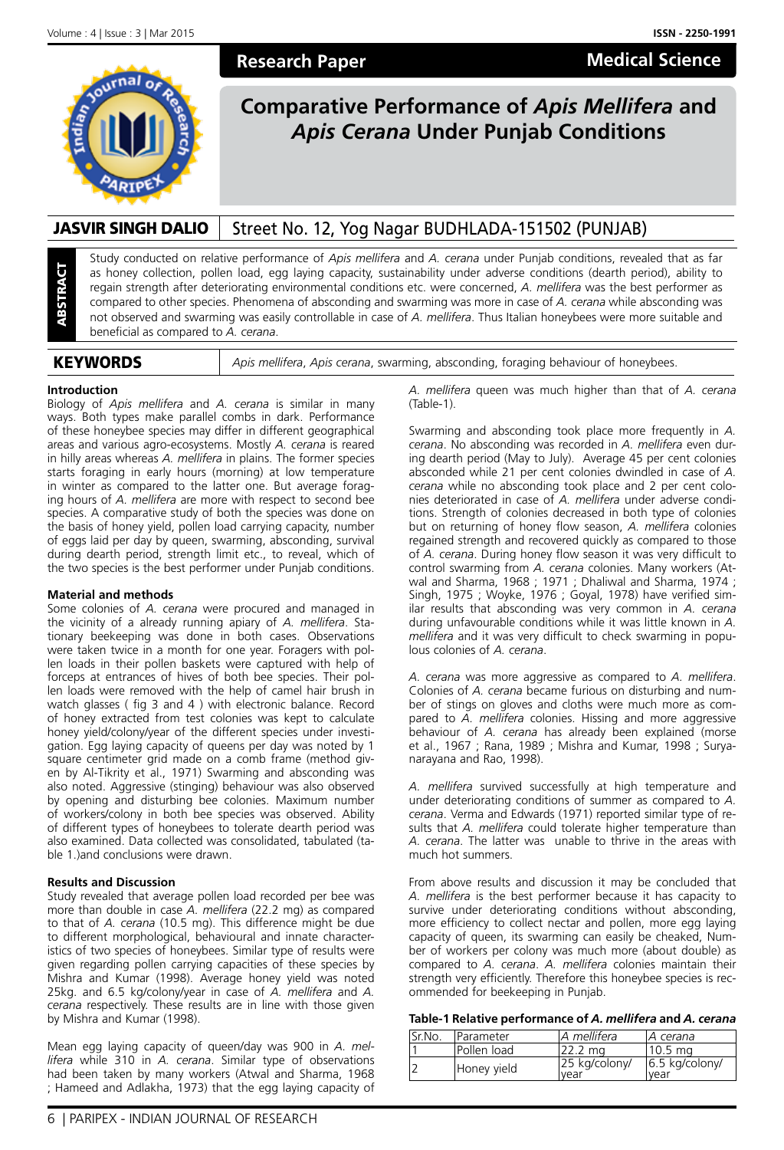**Medical Science**



# **Research Paper**

# **Comparative Performance of** *Apis Mellifera* **and**  *Apis Cerana* **Under Punjab Conditions**

# JASVIR SINGH DALIO | Street No. 12, Yog Nagar BUDHLADA-151502 (PUNJAB)

Study conducted on relative performance of *Apis mellifera* and *A. cerana* under Punjab conditions, revealed that as far as honey collection, pollen load, egg laying capacity, sustainability under adverse conditions (dearth period), ability to regain strength after deteriorating environmental conditions etc. were concerned, *A. mellifera* was the best performer as compared to other species. Phenomena of absconding and swarming was more in case of *A. cerana* while absconding was not observed and swarming was easily controllable in case of *A. mellifera*. Thus Italian honeybees were more suitable and beneficial as compared to *A. cerana*.

KEYWORDS *Apis mellifera*, *Apis cerana*, swarming, absconding, foraging behaviour of honeybees.

#### **Introduction**

ABSTRACT

Biology of *Apis mellifera* and *A. cerana* is similar in many ways. Both types make parallel combs in dark. Performance of these honeybee species may differ in different geographical areas and various agro-ecosystems. Mostly *A. cerana* is reared in hilly areas whereas *A. mellifera* in plains. The former species starts foraging in early hours (morning) at low temperature in winter as compared to the latter one. But average foraging hours of *A. mellifera* are more with respect to second bee species. A comparative study of both the species was done on the basis of honey yield, pollen load carrying capacity, number of eggs laid per day by queen, swarming, absconding, survival during dearth period, strength limit etc., to reveal, which of the two species is the best performer under Punjab conditions.

#### **Material and methods**

Some colonies of *A. cerana* were procured and managed in the vicinity of a already running apiary of *A. mellifera*. Stationary beekeeping was done in both cases. Observations were taken twice in a month for one year. Foragers with pollen loads in their pollen baskets were captured with help of forceps at entrances of hives of both bee species. Their pollen loads were removed with the help of camel hair brush in watch glasses ( fig 3 and 4 ) with electronic balance. Record of honey extracted from test colonies was kept to calculate honey yield/colony/year of the different species under investigation. Egg laying capacity of queens per day was noted by 1 square centimeter grid made on a comb frame (method given by Al-Tikrity et al., 1971) Swarming and absconding was also noted. Aggressive (stinging) behaviour was also observed by opening and disturbing bee colonies. Maximum number of workers/colony in both bee species was observed. Ability of different types of honeybees to tolerate dearth period was also examined. Data collected was consolidated, tabulated (table 1.)and conclusions were drawn.

#### **Results and Discussion**

Study revealed that average pollen load recorded per bee was more than double in case *A. mellifera* (22.2 mg) as compared to that of *A. cerana* (10.5 mg). This difference might be due to different morphological, behavioural and innate characteristics of two species of honeybees. Similar type of results were given regarding pollen carrying capacities of these species by Mishra and Kumar (1998). Average honey yield was noted 25kg. and 6.5 kg/colony/year in case of *A. mellifera* and *A. cerana* respectively. These results are in line with those given by Mishra and Kumar (1998).

Mean egg laying capacity of queen/day was 900 in *A. mellifera* while 310 in *A. cerana*. Similar type of observations had been taken by many workers (Atwal and Sharma, 1968 ; Hameed and Adlakha, 1973) that the egg laying capacity of

*A. mellifera* queen was much higher than that of *A. cerana*  $(Tahle-1)$ 

Swarming and absconding took place more frequently in *A. cerana*. No absconding was recorded in *A. mellifera* even during dearth period (May to July). Average 45 per cent colonies absconded while 21 per cent colonies dwindled in case of *A. cerana* while no absconding took place and 2 per cent colonies deteriorated in case of *A. mellifera* under adverse conditions. Strength of colonies decreased in both type of colonies but on returning of honey flow season, *A. mellifera* colonies regained strength and recovered quickly as compared to those of *A. cerana*. During honey flow season it was very difficult to control swarming from *A. cerana* colonies. Many workers (Atwal and Sharma, 1968 ; 1971 ; Dhaliwal and Sharma, 1974 ; Singh, 1975 ; Woyke, 1976 ; Goyal, 1978) have verified similar results that absconding was very common in *A. cerana* during unfavourable conditions while it was little known in *A. mellifera* and it was very difficult to check swarming in populous colonies of *A. cerana*.

*A. cerana* was more aggressive as compared to *A. mellifera*. Colonies of *A. cerana* became furious on disturbing and number of stings on gloves and cloths were much more as compared to *A. mellifera* colonies. Hissing and more aggressive behaviour of *A. cerana* has already been explained (morse et al., 1967 ; Rana, 1989 ; Mishra and Kumar, 1998 ; Suryanarayana and Rao, 1998).

*A. mellifera* survived successfully at high temperature and under deteriorating conditions of summer as compared to *A. cerana*. Verma and Edwards (1971) reported similar type of results that *A. mellifera* could tolerate higher temperature than *A. cerana*. The latter was unable to thrive in the areas with much hot summers.

From above results and discussion it may be concluded that *A. mellifera* is the best performer because it has capacity to survive under deteriorating conditions without absconding, more efficiency to collect nectar and pollen, more egg laying capacity of queen, its swarming can easily be cheaked, Number of workers per colony was much more (about double) as compared to *A. cerana*. *A. mellifera* colonies maintain their strength very efficiently. Therefore this honeybee species is recommended for beekeeping in Punjab.

#### **Table-1 Relative performance of** *A. mellifera* **and** *A. cerana*

| Sr.No. | <b>IParameter</b> | lA mellifera          | IA cerana                |
|--------|-------------------|-----------------------|--------------------------|
|        | lPollen load      | 122.2 ma              | l 10.5 ma                |
|        | Honey yield       | 25 kg/colony/<br>vear | $6.5$ kg/colony/<br>vear |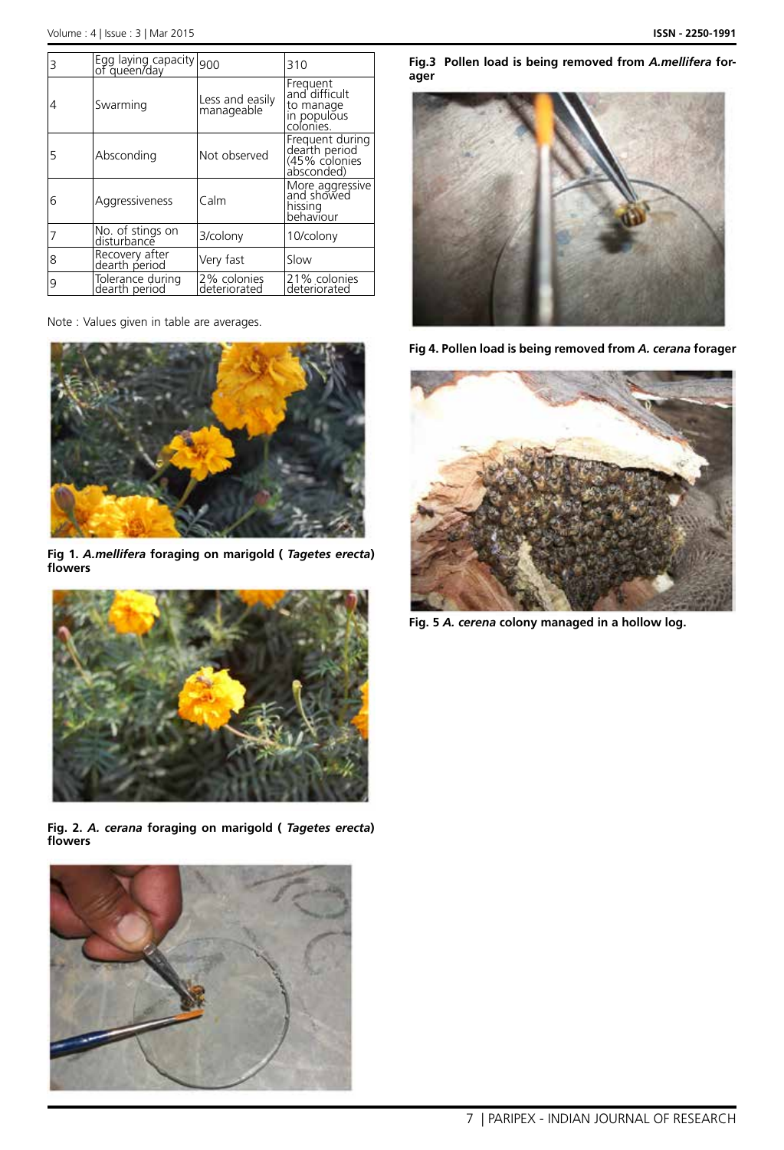| 3 | Egg laying capacity 900           |                               | 310                                                                |
|---|-----------------------------------|-------------------------------|--------------------------------------------------------------------|
|   | Swarming                          | Less and easily<br>manageable | Frequent<br>and difficult<br>to manage<br>in populõus<br>colonies. |
| 5 | Absconding                        | Not observed                  | Frequent during<br>dearth period<br>(45% colonies<br>absconded)    |
| 6 | Aggressiveness                    | Calm                          | More aggressive<br>and showed<br>hissing<br>behaviour              |
|   | No. of stings on<br>disturbance   | 3/colony                      | 10/colony                                                          |
| 8 | Recovery after<br>dearth period   | Very fast                     | Slow                                                               |
| 9 | Tolerance during<br>dearth period | 2% colonies<br>deteriorated   | 21% colonies<br>deteriorated                                       |

Note : Values given in table are averages.



**Fig 1.** *A.mellifera* **foraging on marigold (** *Tagetes erecta***) flowers**



**Fig. 2.** *A. cerana* **foraging on marigold (** *Tagetes erecta***) flowers**



**Fig.3 Pollen load is being removed from** *A.mellifera* **forager**



**Fig 4. Pollen load is being removed from** *A. cerana* **forager**



**Fig. 5** *A. cerena* **colony managed in a hollow log.**